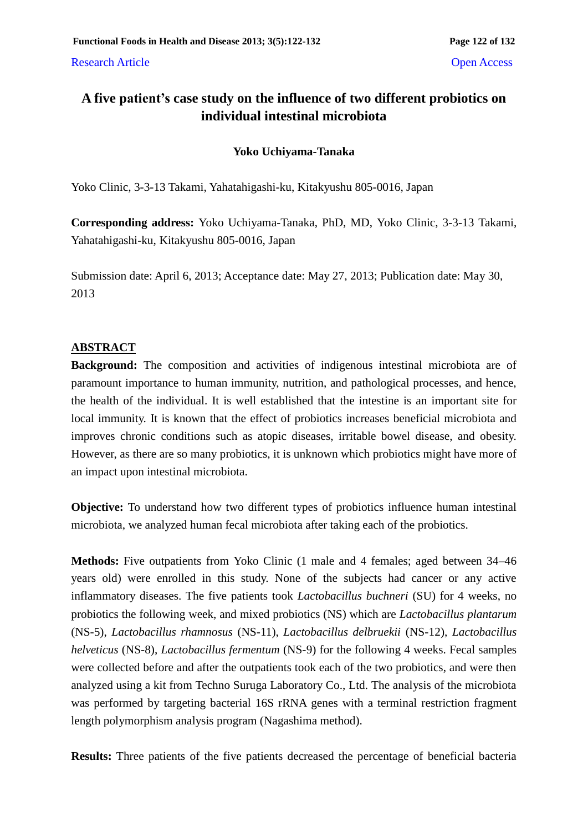Research Article **Open Access** 

# **A five patient's case study on the influence of two different probiotics on individual intestinal microbiota**

# **Yoko Uchiyama-Tanaka**

Yoko Clinic, 3-3-13 Takami, Yahatahigashi-ku, Kitakyushu 805-0016, Japan

**Corresponding address:** Yoko Uchiyama-Tanaka, PhD, MD, Yoko Clinic, 3-3-13 Takami, Yahatahigashi-ku, Kitakyushu 805-0016, Japan

Submission date: April 6, 2013; Acceptance date: May 27, 2013; Publication date: May 30, 2013

## **ABSTRACT**

**Background:** The composition and activities of indigenous intestinal microbiota are of paramount importance to human immunity, nutrition, and pathological processes, and hence, the health of the individual. It is well established that the intestine is an important site for local immunity. It is known that the effect of probiotics increases beneficial microbiota and improves chronic conditions such as atopic diseases, irritable bowel disease, and obesity. However, as there are so many probiotics, it is unknown which probiotics might have more of an impact upon intestinal microbiota.

**Objective:** To understand how two different types of probiotics influence human intestinal microbiota, we analyzed human fecal microbiota after taking each of the probiotics.

**Methods:** Five outpatients from Yoko Clinic (1 male and 4 females; aged between 34–46 years old) were enrolled in this study. None of the subjects had cancer or any active inflammatory diseases. The five patients took *Lactobacillus buchneri* (SU) for 4 weeks, no probiotics the following week, and mixed probiotics (NS) which are *Lactobacillus plantarum*  (NS-5), *Lactobacillus rhamnosus* (NS-11), *Lactobacillus delbruekii* (NS-12), *Lactobacillus helveticus* (NS-8), *Lactobacillus fermentum* (NS-9) for the following 4 weeks. Fecal samples were collected before and after the outpatients took each of the two probiotics, and were then analyzed using a kit from Techno Suruga Laboratory Co., Ltd. The analysis of the microbiota was performed by targeting bacterial 16S rRNA genes with a terminal restriction fragment length polymorphism analysis program (Nagashima method).

**Results:** Three patients of the five patients decreased the percentage of beneficial bacteria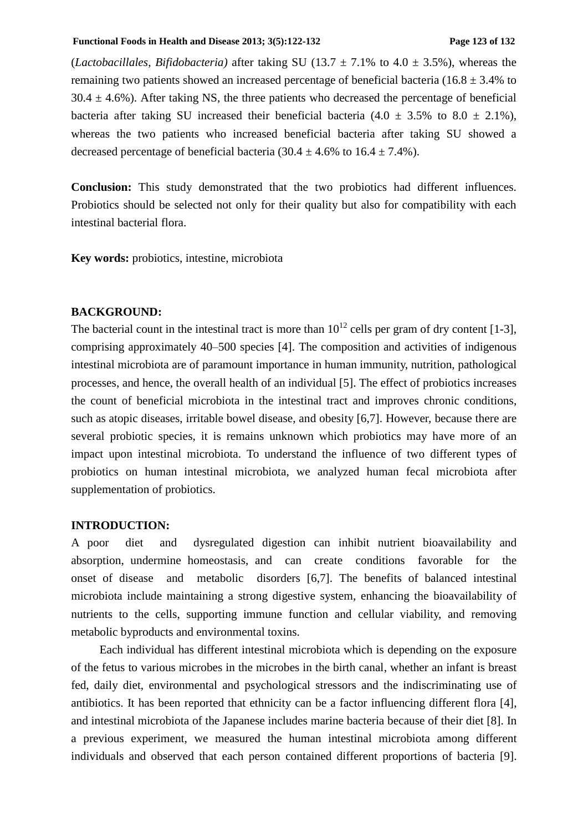#### **Functional Foods in Health and Disease 2013; 3(5):122-132 Page 123 of 132**

(*Lactobacillales*, *Bifidobacteria*) after taking SU (13.7  $\pm$  7.1% to 4.0  $\pm$  3.5%), whereas the remaining two patients showed an increased percentage of beneficial bacteria (16.8  $\pm$  3.4% to  $30.4 \pm 4.6$ %). After taking NS, the three patients who decreased the percentage of beneficial bacteria after taking SU increased their beneficial bacteria  $(4.0 \pm 3.5\%$  to  $8.0 \pm 2.1\%$ ), whereas the two patients who increased beneficial bacteria after taking SU showed a decreased percentage of beneficial bacteria (30.4  $\pm$  4.6% to 16.4  $\pm$  7.4%).

**Conclusion:** This study demonstrated that the two probiotics had different influences. Probiotics should be selected not only for their quality but also for compatibility with each intestinal bacterial flora.

**Key words:** probiotics, intestine, microbiota

#### **BACKGROUND:**

The bacterial count in the intestinal tract is more than  $10^{12}$  cells per gram of dry content [1-3], comprising approximately 40–500 species [4]. The composition and activities of indigenous intestinal microbiota are of paramount importance in human immunity, nutrition, pathological processes, and hence, the overall health of an individual [5]. The effect of probiotics increases the count of beneficial microbiota in the intestinal tract and improves chronic conditions, such as atopic diseases, irritable bowel disease, and obesity [6,7]. However, because there are several probiotic species, it is remains unknown which probiotics may have more of an impact upon intestinal microbiota. To understand the influence of two different types of probiotics on human intestinal microbiota, we analyzed human fecal microbiota after supplementation of probiotics.

#### **INTRODUCTION:**

A poor diet and dysregulated digestion can inhibit nutrient bioavailability and absorption, undermine homeostasis, and can create conditions favorable for the onset of disease and metabolic disorders [6,7]. The benefits of balanced intestinal microbiota include maintaining a strong digestive system, enhancing the bioavailability of nutrients to the cells, supporting immune function and cellular viability, and removing metabolic byproducts and environmental toxins.

Each individual has different intestinal microbiota which is depending on the exposure of the fetus to various microbes in the microbes in the birth canal, whether an infant is breast fed, daily diet, environmental and psychological stressors and the indiscriminating use of antibiotics. It has been reported that ethnicity can be a factor influencing different flora [4], and intestinal microbiota of the Japanese includes marine bacteria because of their diet [8]. In a previous experiment, we measured the human intestinal microbiota among different individuals and observed that each person contained different proportions of bacteria [9].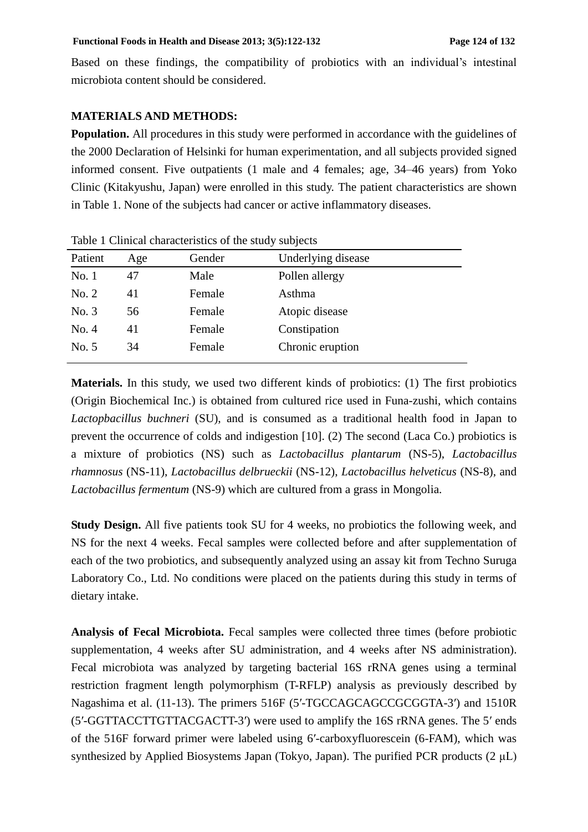Based on these findings, the compatibility of probiotics with an individual's intestinal microbiota content should be considered.

## **MATERIALS AND METHODS:**

**Population.** All procedures in this study were performed in accordance with the guidelines of the 2000 Declaration of Helsinki for human experimentation, and all subjects provided signed informed consent. Five outpatients (1 male and 4 females; age, 34–46 years) from Yoko Clinic (Kitakyushu, Japan) were enrolled in this study. The patient characteristics are shown in Table 1. None of the subjects had cancer or active inflammatory diseases.

| Table 1 Clinical characteristics of the study subjects |     |        |                    |  |
|--------------------------------------------------------|-----|--------|--------------------|--|
| Patient                                                | Age | Gender | Underlying disease |  |
| No.1                                                   | 47  | Male   | Pollen allergy     |  |
| No. 2                                                  | 41  | Female | Asthma             |  |
| No. 3                                                  | 56  | Female | Atopic disease     |  |
| No. 4                                                  | 41  | Female | Constipation       |  |
| No. 5                                                  | 34  | Female | Chronic eruption   |  |
|                                                        |     |        |                    |  |

Table 1 Clinical characteristics of the study subjects

**Materials.** In this study, we used two different kinds of probiotics: (1) The first probiotics (Origin Biochemical Inc.) is obtained from cultured rice used in Funa-zushi, which contains *Lactopbacillus buchneri* (SU), and is consumed as a traditional health food in Japan to prevent the occurrence of colds and indigestion [10]. (2) The second (Laca Co.) probiotics is a mixture of probiotics (NS) such as *Lactobacillus plantarum* (NS-5), *Lactobacillus rhamnosus* (NS-11), *Lactobacillus delbrueckii* (NS-12), *Lactobacillus helveticus* (NS-8), and *Lactobacillus fermentum* (NS-9) which are cultured from a grass in Mongolia.

**Study Design.** All five patients took SU for 4 weeks, no probiotics the following week, and NS for the next 4 weeks. Fecal samples were collected before and after supplementation of each of the two probiotics, and subsequently analyzed using an assay kit from Techno Suruga Laboratory Co., Ltd. No conditions were placed on the patients during this study in terms of dietary intake.

**Analysis of Fecal Microbiota.** Fecal samples were collected three times (before probiotic supplementation, 4 weeks after SU administration, and 4 weeks after NS administration). Fecal microbiota was analyzed by targeting bacterial 16S rRNA genes using a terminal restriction fragment length polymorphism (T-RFLP) analysis as previously described by Nagashima et al. (11-13). The primers 516F (5′-TGCCAGCAGCCGCGGTA-3′) and 1510R (5′-GGTTACCTTGTTACGACTT-3′) were used to amplify the 16S rRNA genes. The 5′ ends of the 516F forward primer were labeled using 6′-carboxyfluorescein (6-FAM), which was synthesized by Applied Biosystems Japan (Tokyo, Japan). The purified PCR products  $(2 \mu L)$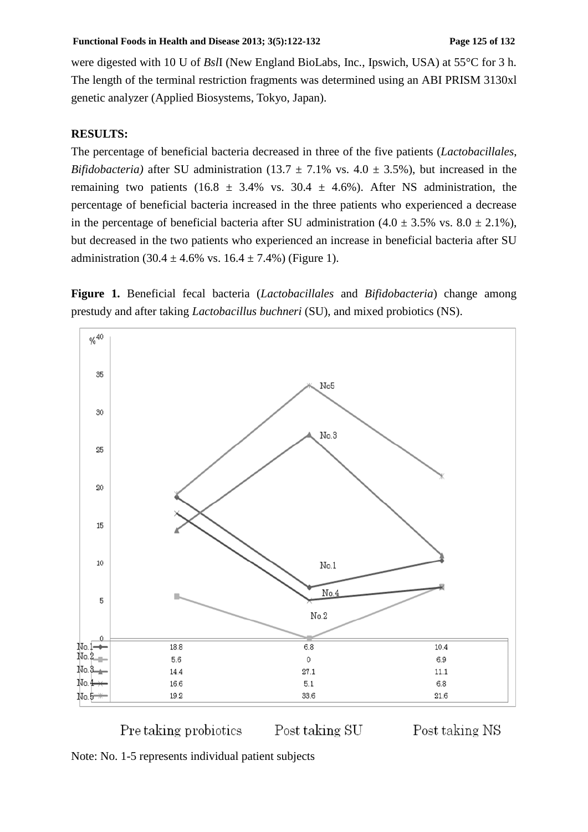were digested with 10 U of *Bsl*I (New England BioLabs, Inc., Ipswich, USA) at 55°C for 3 h. The length of the terminal restriction fragments was determined using an ABI PRISM 3130xl genetic analyzer (Applied Biosystems, Tokyo, Japan).

#### **RESULTS:**

The percentage of beneficial bacteria decreased in three of the five patients (*Lactobacillales*, *Bifidobacteria*) after SU administration (13.7  $\pm$  7.1% vs. 4.0  $\pm$  3.5%), but increased in the remaining two patients (16.8  $\pm$  3.4% vs. 30.4  $\pm$  4.6%). After NS administration, the percentage of beneficial bacteria increased in the three patients who experienced a decrease in the percentage of beneficial bacteria after SU administration  $(4.0 \pm 3.5\% \text{ vs. } 8.0 \pm 2.1\%),$ but decreased in the two patients who experienced an increase in beneficial bacteria after SU administration  $(30.4 \pm 4.6\% \text{ vs. } 16.4 \pm 7.4\%)$  (Figure 1).

**Figure 1.** Beneficial fecal bacteria (*Lactobacillales* and *Bifidobacteria*) change among prestudy and after taking *Lactobacillus buchneri* (SU), and mixed probiotics (NS).





Note: No. 1-5 represents individual patient subjects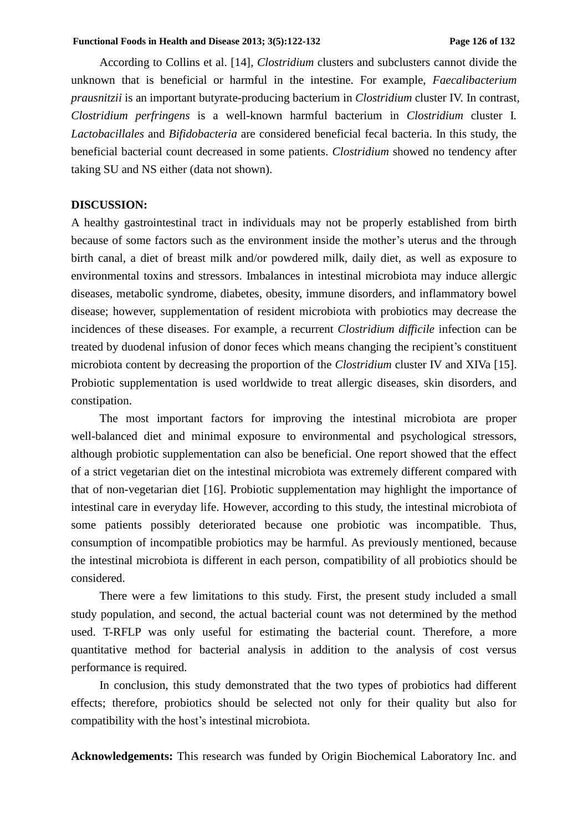According to Collins et al. [14], *Clostridium* clusters and subclusters cannot divide the unknown that is beneficial or harmful in the intestine. For example, *Faecalibacterium prausnitzii* is an important butyrate-producing bacterium in *Clostridium* cluster IV. In contrast, *Clostridium perfringens* is a well-known harmful bacterium in *Clostridium* cluster I*. Lactobacillales* and *Bifidobacteria* are considered beneficial fecal bacteria. In this study, the beneficial bacterial count decreased in some patients. *Clostridium* showed no tendency after taking SU and NS either (data not shown).

#### **DISCUSSION:**

A healthy gastrointestinal tract in individuals may not be properly established from birth because of some factors such as the environment inside the mother's uterus and the through birth canal, a diet of breast milk and/or powdered milk, daily diet, as well as exposure to environmental toxins and stressors. Imbalances in intestinal microbiota may induce allergic diseases, metabolic syndrome, diabetes, obesity, immune disorders, and inflammatory bowel disease; however, supplementation of resident microbiota with probiotics may decrease the incidences of these diseases. For example, a recurrent *Clostridium difficile* infection can be treated by duodenal infusion of donor feces which means changing the recipient's constituent microbiota content by decreasing the proportion of the *Clostridium* cluster IV and XIVa [15]. Probiotic supplementation is used worldwide to treat allergic diseases, skin disorders, and constipation.

The most important factors for improving the intestinal microbiota are proper well-balanced diet and minimal exposure to environmental and psychological stressors, although probiotic supplementation can also be beneficial. One report showed that the effect of a strict vegetarian diet on the intestinal microbiota was extremely different compared with that of non-vegetarian diet [16]. Probiotic supplementation may highlight the importance of intestinal care in everyday life. However, according to this study, the intestinal microbiota of some patients possibly deteriorated because one probiotic was incompatible. Thus, consumption of incompatible probiotics may be harmful. As previously mentioned, because the intestinal microbiota is different in each person, compatibility of all probiotics should be considered.

There were a few limitations to this study. First, the present study included a small study population, and second, the actual bacterial count was not determined by the method used. T-RFLP was only useful for estimating the bacterial count. Therefore, a more quantitative method for bacterial analysis in addition to the analysis of cost versus performance is required.

In conclusion, this study demonstrated that the two types of probiotics had different effects; therefore, probiotics should be selected not only for their quality but also for compatibility with the host's intestinal microbiota.

**Acknowledgements:** This research was funded by Origin Biochemical Laboratory Inc. and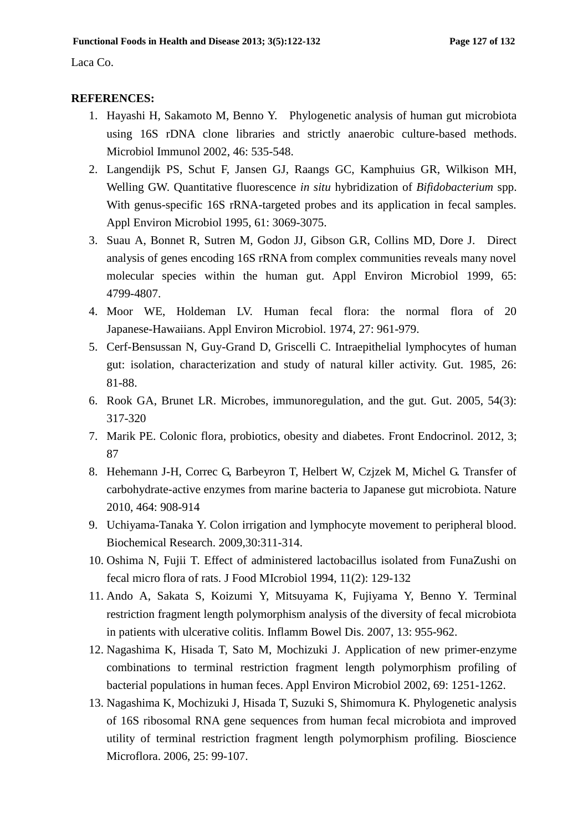Laca Co.

#### **REFERENCES:**

- 1. Hayashi H, Sakamoto M, Benno Y. Phylogenetic analysis of human gut microbiota using 16S rDNA clone libraries and strictly anaerobic culture-based methods. Microbiol Immunol 2002, 46: 535-548.
- 2. Langendijk PS, Schut F, Jansen GJ, Raangs GC, Kamphuius GR, Wilkison MH, Welling GW. Quantitative fluorescence *in situ* hybridization of *Bifidobacterium* spp. With genus-specific 16S rRNA-targeted probes and its application in fecal samples. Appl Environ Microbiol 1995, 61: 3069-3075.
- 3. Suau A, Bonnet R, Sutren M, Godon JJ, Gibson G.R, Collins MD, Dore J. Direct analysis of genes encoding 16S rRNA from complex communities reveals many novel molecular species within the human gut. Appl Environ Microbiol 1999, 65: 4799-4807.
- 4. Moor WE, Holdeman LV. Human fecal flora: the normal flora of 20 Japanese-Hawaiians. Appl Environ Microbiol. 1974, 27: 961-979.
- 5. Cerf-Bensussan N, Guy-Grand D, Griscelli C. Intraepithelial lymphocytes of human gut: isolation, characterization and study of natural killer activity. Gut. 1985, 26: 81-88.
- 6. Rook GA, Brunet LR. Microbes, immunoregulation, and the gut. Gut. 2005, 54(3): 317-320
- 7. Marik PE. Colonic flora, probiotics, obesity and diabetes. Front Endocrinol. 2012, 3; 87
- 8. Hehemann J-H, Correc G, Barbeyron T, Helbert W, Czjzek M, Michel G. Transfer of carbohydrate-active enzymes from marine bacteria to Japanese gut microbiota. Nature 2010, 464: 908-914
- 9. Uchiyama-Tanaka Y. Colon irrigation and lymphocyte movement to peripheral blood. Biochemical Research. 2009,30:311-314.
- 10. Oshima N, Fujii T. Effect of administered lactobacillus isolated from FunaZushi on fecal micro flora of rats. J Food MIcrobiol 1994, 11(2): 129-132
- 11. Ando A, Sakata S, Koizumi Y, Mitsuyama K, Fujiyama Y, Benno Y. Terminal restriction fragment length polymorphism analysis of the diversity of fecal microbiota in patients with ulcerative colitis. Inflamm Bowel Dis. 2007, 13: 955-962.
- 12. Nagashima K, Hisada T, Sato M, Mochizuki J. Application of new primer-enzyme combinations to terminal restriction fragment length polymorphism profiling of bacterial populations in human feces. Appl Environ Microbiol 2002, 69: 1251-1262.
- 13. Nagashima K, Mochizuki J, Hisada T, Suzuki S, Shimomura K. Phylogenetic analysis of 16S ribosomal RNA gene sequences from human fecal microbiota and improved utility of terminal restriction fragment length polymorphism profiling. Bioscience Microflora. 2006, 25: 99-107.